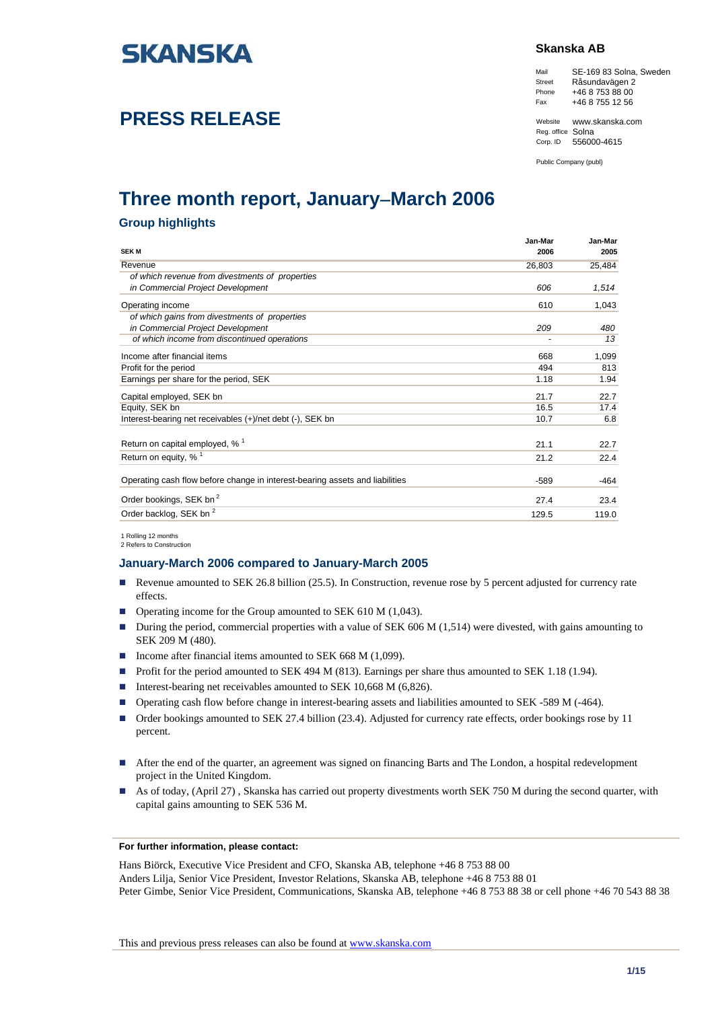

# **PRESS RELEASE**

### **Skanska AB**

Mail SE-169 83 Solna, Sweden Street Råsundavägen 2 Phone +46 8 753 88 00 Fax +46 8 755 12 56

Website www.skanska.com Reg. office Solna<br>Corp. ID 55600 Corp. ID 556000-4615

Public Company (publ)

# **Three month report, January**−**March 2006**

## **Group highlights**

|                                                                              | Jan-Mar | Jan-Mar |
|------------------------------------------------------------------------------|---------|---------|
| <b>SEK M</b>                                                                 | 2006    | 2005    |
| Revenue                                                                      | 26,803  | 25,484  |
| of which revenue from divestments of properties                              |         |         |
| in Commercial Project Development                                            | 606     | 1,514   |
| Operating income                                                             | 610     | 1,043   |
| of which gains from divestments of properties                                |         |         |
| in Commercial Project Development                                            | 209     | 480     |
| of which income from discontinued operations                                 |         | 13      |
| Income after financial items                                                 | 668     | 1,099   |
| Profit for the period                                                        | 494     | 813     |
| Earnings per share for the period, SEK                                       | 1.18    | 1.94    |
| Capital employed, SEK bn                                                     | 21.7    | 22.7    |
| Equity, SEK bn                                                               | 16.5    | 17.4    |
| Interest-bearing net receivables (+)/net debt (-), SEK bn                    | 10.7    | 6.8     |
| Return on capital employed, % <sup>1</sup>                                   | 21.1    | 22.7    |
| Return on equity, $%$ <sup>1</sup>                                           | 21.2    | 22.4    |
| Operating cash flow before change in interest-bearing assets and liabilities | $-589$  | $-464$  |
| Order bookings, SEK bn <sup>2</sup>                                          | 27.4    | 23.4    |
| Order backlog, SEK bn <sup>2</sup>                                           | 129.5   | 119.0   |

1 Rolling 12 months 2 Refers to Construction

### **January-March 2006 compared to January-March 2005**

- Revenue amounted to SEK 26.8 billion (25.5). In Construction, revenue rose by 5 percent adjusted for currency rate effects.
- Operating income for the Group amounted to SEK 610 M (1,043).
- During the period, commercial properties with a value of SEK 606 M (1,514) were divested, with gains amounting to SEK 209 M (480).
- Income after financial items amounted to SEK 668 M (1,099).
- Profit for the period amounted to SEK 494 M (813). Earnings per share thus amounted to SEK 1.18 (1.94).
- Interest-bearing net receivables amounted to SEK 10,668 M  $(6,826)$ .
- Operating cash flow before change in interest-bearing assets and liabilities amounted to SEK -589 M (-464).
- Order bookings amounted to SEK 27.4 billion (23.4). Adjusted for currency rate effects, order bookings rose by 11 percent.
- After the end of the quarter, an agreement was signed on financing Barts and The London, a hospital redevelopment project in the United Kingdom.
- As of today, (April 27), Skanska has carried out property divestments worth SEK 750 M during the second quarter, with capital gains amounting to SEK 536 M.

#### **For further information, please contact:**

Hans Biörck, Executive Vice President and CFO, Skanska AB, telephone +46 8 753 88 00 Anders Lilja, Senior Vice President, Investor Relations, Skanska AB, telephone +46 8 753 88 01 Peter Gimbe, Senior Vice President, Communications, Skanska AB, telephone +46 8 753 88 38 or cell phone +46 70 543 88 38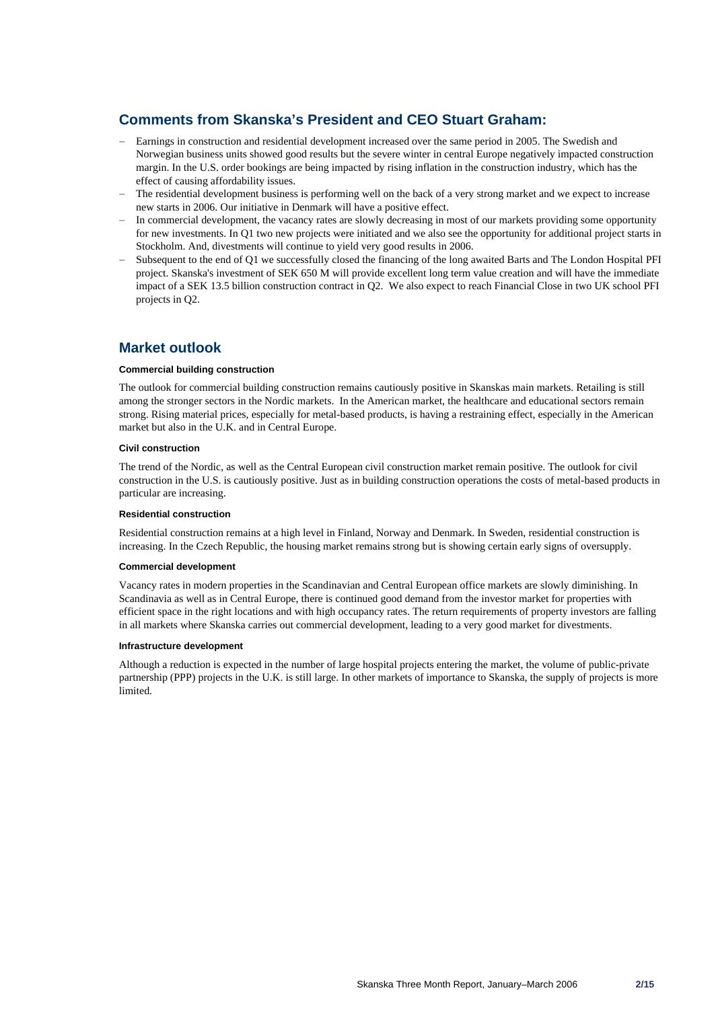# **Comments from Skanska's President and CEO Stuart Graham:**

- Earnings in construction and residential development increased over the same period in 2005. The Swedish and Norwegian business units showed good results but the severe winter in central Europe negatively impacted construction margin. In the U.S. order bookings are being impacted by rising inflation in the construction industry, which has the effect of causing affordability issues.
- The residential development business is performing well on the back of a very strong market and we expect to increase new starts in 2006. Our initiative in Denmark will have a positive effect.
- − In commercial development, the vacancy rates are slowly decreasing in most of our markets providing some opportunity for new investments. In Q1 two new projects were initiated and we also see the opportunity for additional project starts in Stockholm. And, divestments will continue to yield very good results in 2006.
- − Subsequent to the end of Q1 we successfully closed the financing of the long awaited Barts and The London Hospital PFI project. Skanska's investment of SEK 650 M will provide excellent long term value creation and will have the immediate impact of a SEK 13.5 billion construction contract in Q2. We also expect to reach Financial Close in two UK school PFI projects in Q2.

# **Market outlook**

#### **Commercial building construction**

The outlook for commercial building construction remains cautiously positive in Skanskas main markets. Retailing is still among the stronger sectors in the Nordic markets. In the American market, the healthcare and educational sectors remain strong. Rising material prices, especially for metal-based products, is having a restraining effect, especially in the American market but also in the U.K. and in Central Europe.

#### **Civil construction**

The trend of the Nordic, as well as the Central European civil construction market remain positive. The outlook for civil construction in the U.S. is cautiously positive. Just as in building construction operations the costs of metal-based products in particular are increasing.

#### **Residential construction**

Residential construction remains at a high level in Finland, Norway and Denmark. In Sweden, residential construction is increasing. In the Czech Republic, the housing market remains strong but is showing certain early signs of oversupply.

### **Commercial development**

Vacancy rates in modern properties in the Scandinavian and Central European office markets are slowly diminishing. In Scandinavia as well as in Central Europe, there is continued good demand from the investor market for properties with efficient space in the right locations and with high occupancy rates. The return requirements of property investors are falling in all markets where Skanska carries out commercial development, leading to a very good market for divestments.

#### **Infrastructure development**

Although a reduction is expected in the number of large hospital projects entering the market, the volume of public-private partnership (PPP) projects in the U.K. is still large. In other markets of importance to Skanska, the supply of projects is more limited.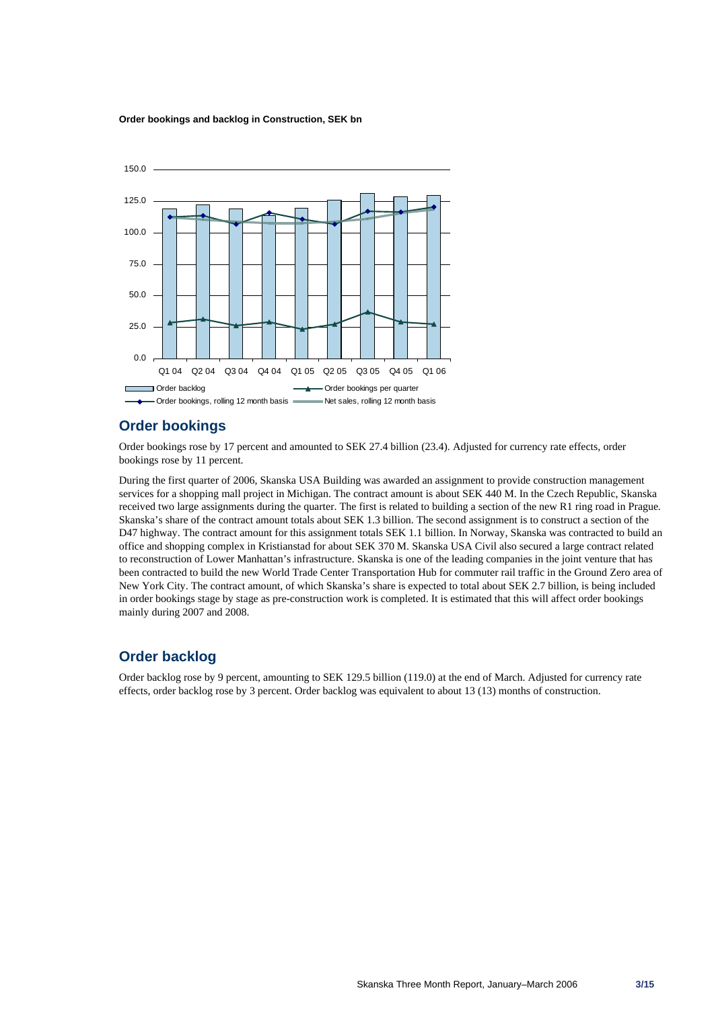#### **Order bookings and backlog in Construction, SEK bn**



## **Order bookings**

Order bookings rose by 17 percent and amounted to SEK 27.4 billion (23.4). Adjusted for currency rate effects, order bookings rose by 11 percent.

During the first quarter of 2006, Skanska USA Building was awarded an assignment to provide construction management services for a shopping mall project in Michigan. The contract amount is about SEK 440 M. In the Czech Republic, Skanska received two large assignments during the quarter. The first is related to building a section of the new R1 ring road in Prague. Skanska's share of the contract amount totals about SEK 1.3 billion. The second assignment is to construct a section of the D47 highway. The contract amount for this assignment totals SEK 1.1 billion. In Norway, Skanska was contracted to build an office and shopping complex in Kristianstad for about SEK 370 M. Skanska USA Civil also secured a large contract related to reconstruction of Lower Manhattan's infrastructure. Skanska is one of the leading companies in the joint venture that has been contracted to build the new World Trade Center Transportation Hub for commuter rail traffic in the Ground Zero area of New York City. The contract amount, of which Skanska's share is expected to total about SEK 2.7 billion, is being included in order bookings stage by stage as pre-construction work is completed. It is estimated that this will affect order bookings mainly during 2007 and 2008.

# **Order backlog**

Order backlog rose by 9 percent, amounting to SEK 129.5 billion (119.0) at the end of March. Adjusted for currency rate effects, order backlog rose by 3 percent. Order backlog was equivalent to about 13 (13) months of construction.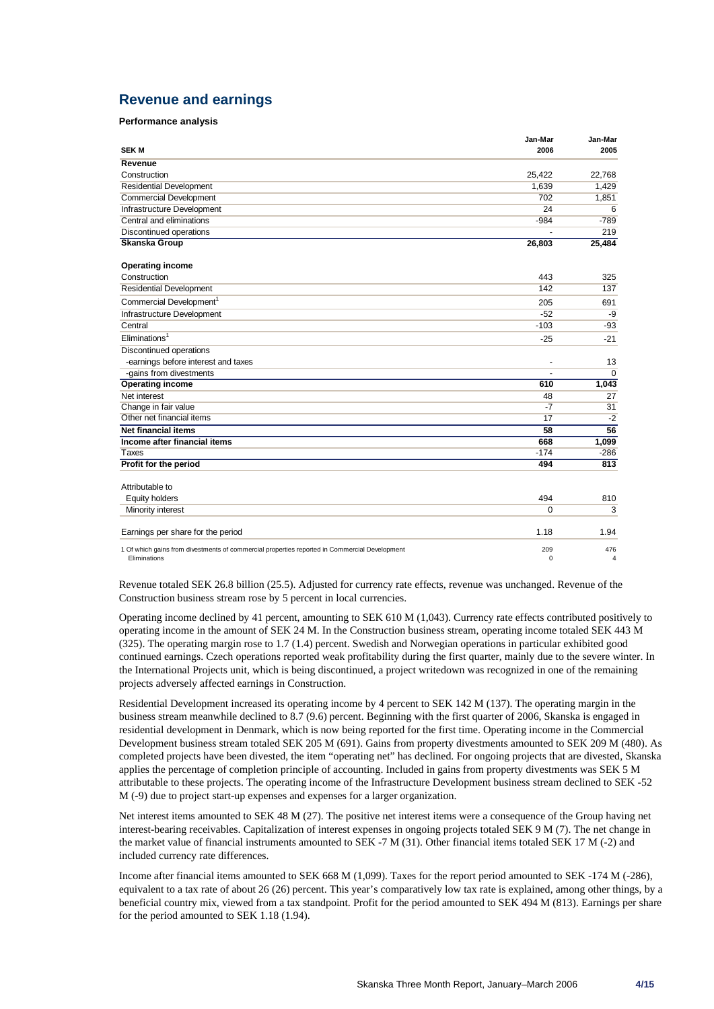# **Revenue and earnings**

### **Performance analysis**

| <b>SEK M</b>                                                                                                  | Jan-Mar<br>2006 | Jan-Mar<br>2005 |
|---------------------------------------------------------------------------------------------------------------|-----------------|-----------------|
| Revenue                                                                                                       |                 |                 |
| Construction                                                                                                  | 25,422          | 22.768          |
| <b>Residential Development</b>                                                                                | 1.639           | 1.429           |
| <b>Commercial Development</b>                                                                                 | 702             | 1,851           |
| Infrastructure Development                                                                                    | 24              | 6               |
| Central and eliminations                                                                                      | $-984$          | $-789$          |
| Discontinued operations                                                                                       |                 | 219             |
| <b>Skanska Group</b>                                                                                          | 26,803          | 25,484          |
| <b>Operating income</b>                                                                                       |                 |                 |
| Construction                                                                                                  | 443             | 325             |
| <b>Residential Development</b>                                                                                | 142             | 137             |
| Commercial Development <sup>1</sup>                                                                           | 205             | 691             |
| Infrastructure Development                                                                                    | $-52$           | -9              |
| Central                                                                                                       | $-103$          | $-93$           |
| Eliminations <sup>1</sup>                                                                                     | $-25$           | $-21$           |
| <b>Discontinued operations</b>                                                                                |                 |                 |
| -earnings before interest and taxes                                                                           |                 | 13              |
| -gains from divestments                                                                                       |                 | $\mathbf 0$     |
| <b>Operating income</b>                                                                                       | 610             | 1,043           |
| Net interest                                                                                                  | 48              | 27              |
| Change in fair value                                                                                          | $-7$            | 31              |
| Other net financial items                                                                                     | 17              | $-2$            |
| <b>Net financial items</b>                                                                                    | $\overline{58}$ | 56              |
| Income after financial items                                                                                  | 668             | 1,099           |
| Taxes                                                                                                         | $-174$          | $-286$          |
| Profit for the period                                                                                         | 494             | 813             |
| Attributable to                                                                                               |                 |                 |
| <b>Equity holders</b>                                                                                         | 494             | 810             |
| Minority interest                                                                                             | 0               | 3               |
| Earnings per share for the period                                                                             | 1.18            | 1.94            |
| 1 Of which gains from divestments of commercial properties reported in Commercial Development<br>Eliminations | 209<br>$\Omega$ | 476<br>4        |

Revenue totaled SEK 26.8 billion (25.5). Adjusted for currency rate effects, revenue was unchanged. Revenue of the Construction business stream rose by 5 percent in local currencies.

Operating income declined by 41 percent, amounting to SEK 610 M (1,043). Currency rate effects contributed positively to operating income in the amount of SEK 24 M. In the Construction business stream, operating income totaled SEK 443 M (325). The operating margin rose to 1.7 (1.4) percent. Swedish and Norwegian operations in particular exhibited good continued earnings. Czech operations reported weak profitability during the first quarter, mainly due to the severe winter. In the International Projects unit, which is being discontinued, a project writedown was recognized in one of the remaining projects adversely affected earnings in Construction.

Residential Development increased its operating income by 4 percent to SEK 142 M (137). The operating margin in the business stream meanwhile declined to 8.7 (9.6) percent. Beginning with the first quarter of 2006, Skanska is engaged in residential development in Denmark, which is now being reported for the first time. Operating income in the Commercial Development business stream totaled SEK 205 M (691). Gains from property divestments amounted to SEK 209 M (480). As completed projects have been divested, the item "operating net" has declined. For ongoing projects that are divested, Skanska applies the percentage of completion principle of accounting. Included in gains from property divestments was SEK 5 M attributable to these projects. The operating income of the Infrastructure Development business stream declined to SEK -52 M (-9) due to project start-up expenses and expenses for a larger organization.

Net interest items amounted to SEK 48 M (27). The positive net interest items were a consequence of the Group having net interest-bearing receivables. Capitalization of interest expenses in ongoing projects totaled SEK 9 M (7). The net change in the market value of financial instruments amounted to SEK -7 M (31). Other financial items totaled SEK 17 M (-2) and included currency rate differences.

Income after financial items amounted to SEK 668 M (1,099). Taxes for the report period amounted to SEK -174 M (-286), equivalent to a tax rate of about 26 (26) percent. This year's comparatively low tax rate is explained, among other things, by a beneficial country mix, viewed from a tax standpoint. Profit for the period amounted to SEK 494 M (813). Earnings per share for the period amounted to SEK 1.18 (1.94).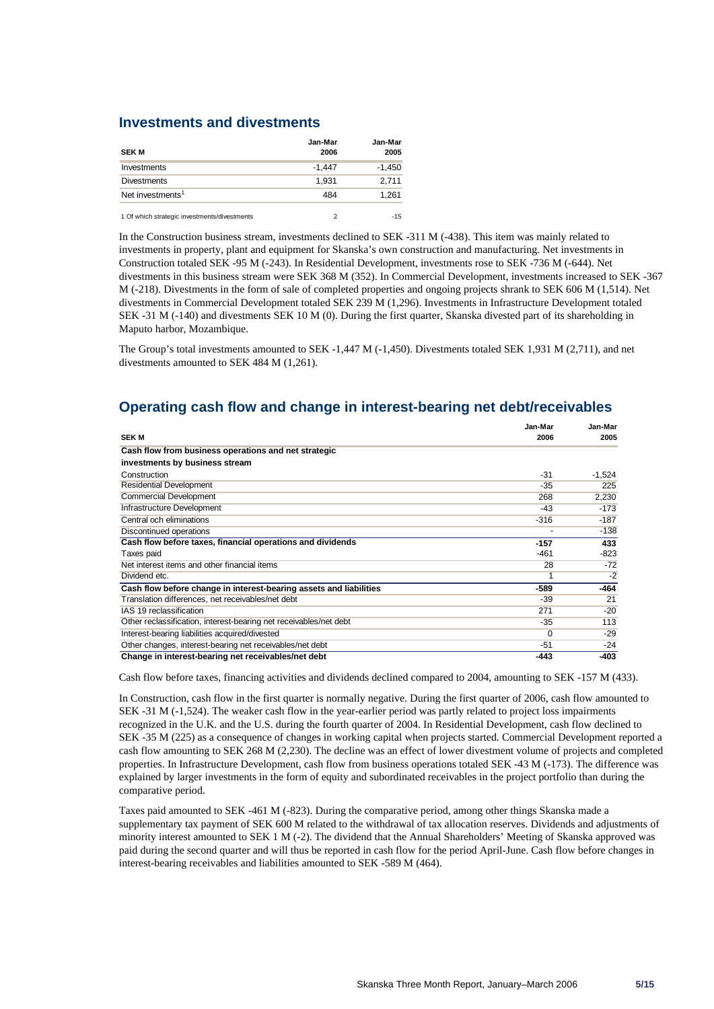## **Investments and divestments**

| <b>SEK M</b>                                 | Jan-Mar<br>2006 | Jan-Mar<br>2005 |
|----------------------------------------------|-----------------|-----------------|
| Investments                                  | $-1,447$        | $-1,450$        |
| <b>Divestments</b>                           | 1.931           | 2.711           |
| Net investments <sup>1</sup>                 | 484             | 1,261           |
| 1 Of which strategic investments/divestments |                 | $-15$           |

In the Construction business stream, investments declined to SEK -311 M (-438). This item was mainly related to investments in property, plant and equipment for Skanska's own construction and manufacturing. Net investments in Construction totaled SEK -95 M (-243). In Residential Development, investments rose to SEK -736 M (-644). Net divestments in this business stream were SEK 368 M (352). In Commercial Development, investments increased to SEK -367 M (-218). Divestments in the form of sale of completed properties and ongoing projects shrank to SEK 606 M (1,514). Net divestments in Commercial Development totaled SEK 239 M (1,296). Investments in Infrastructure Development totaled SEK -31 M (-140) and divestments SEK 10 M (0). During the first quarter, Skanska divested part of its shareholding in Maputo harbor, Mozambique.

The Group's total investments amounted to SEK -1,447 M (-1,450). Divestments totaled SEK 1,931 M (2,711), and net divestments amounted to SEK 484 M (1,261).

# **Operating cash flow and change in interest-bearing net debt/receivables**

|                                                                    | Jan-Mar | Jan-Mar  |
|--------------------------------------------------------------------|---------|----------|
| <b>SEK M</b>                                                       | 2006    | 2005     |
| Cash flow from business operations and net strategic               |         |          |
| investments by business stream                                     |         |          |
| Construction                                                       | $-31$   | $-1,524$ |
| <b>Residential Development</b>                                     | -35     | 225      |
| <b>Commercial Development</b>                                      | 268     | 2,230    |
| Infrastructure Development                                         | -43     | $-173$   |
| Central och eliminations                                           | $-316$  | $-187$   |
| Discontinued operations                                            |         | $-138$   |
| Cash flow before taxes, financial operations and dividends         | -157    | 433      |
| Taxes paid                                                         | $-461$  | $-823$   |
| Net interest items and other financial items                       | 28      | $-72$    |
| Dividend etc.                                                      |         | $-2$     |
| Cash flow before change in interest-bearing assets and liabilities | -589    | $-464$   |
| Translation differences, net receivables/net debt                  | $-39$   | 21       |
| IAS 19 reclassification                                            | 271     | $-20$    |
| Other reclassification, interest-bearing net receivables/net debt  | $-35$   | 113      |
| Interest-bearing liabilities acquired/divested                     | 0       | $-29$    |
| Other changes, interest-bearing net receivables/net debt           | $-51$   | $-24$    |
| Change in interest-bearing net receivables/net debt                | $-443$  | $-403$   |

Cash flow before taxes, financing activities and dividends declined compared to 2004, amounting to SEK -157 M (433).

In Construction, cash flow in the first quarter is normally negative. During the first quarter of 2006, cash flow amounted to SEK -31 M (-1,524). The weaker cash flow in the year-earlier period was partly related to project loss impairments recognized in the U.K. and the U.S. during the fourth quarter of 2004. In Residential Development, cash flow declined to SEK -35 M (225) as a consequence of changes in working capital when projects started. Commercial Development reported a cash flow amounting to SEK 268 M (2,230). The decline was an effect of lower divestment volume of projects and completed properties. In Infrastructure Development, cash flow from business operations totaled SEK -43 M (-173). The difference was explained by larger investments in the form of equity and subordinated receivables in the project portfolio than during the comparative period.

Taxes paid amounted to SEK -461 M (-823). During the comparative period, among other things Skanska made a supplementary tax payment of SEK 600 M related to the withdrawal of tax allocation reserves. Dividends and adjustments of minority interest amounted to SEK 1 M (-2). The dividend that the Annual Shareholders' Meeting of Skanska approved was paid during the second quarter and will thus be reported in cash flow for the period April-June. Cash flow before changes in interest-bearing receivables and liabilities amounted to SEK -589 M (464).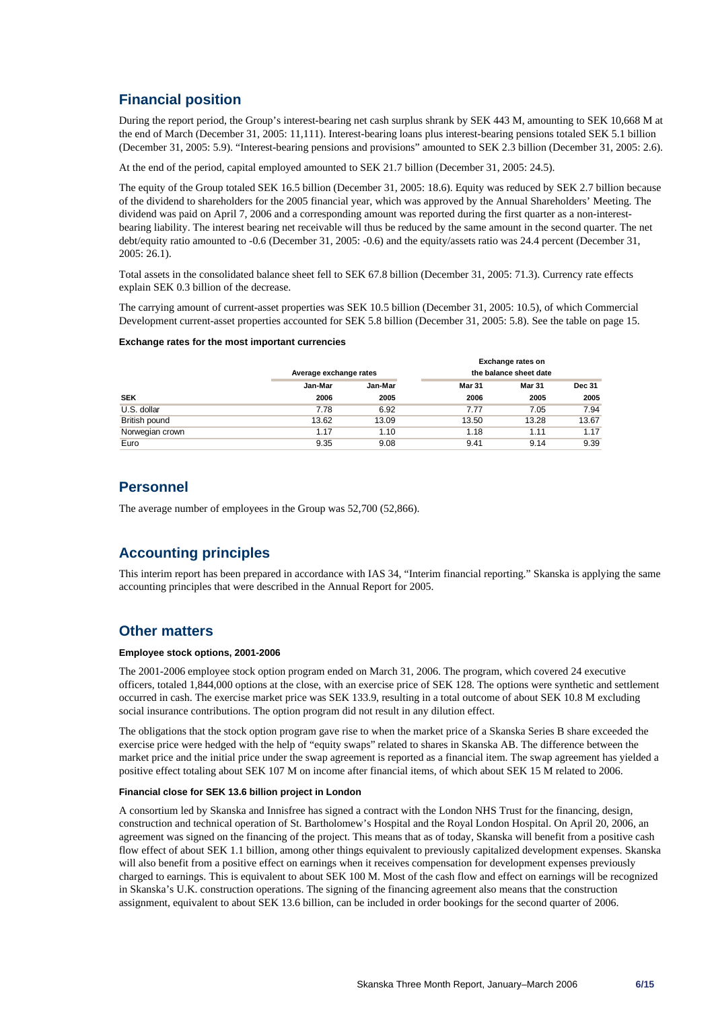# **Financial position**

During the report period, the Group's interest-bearing net cash surplus shrank by SEK 443 M, amounting to SEK 10,668 M at the end of March (December 31, 2005: 11,111). Interest-bearing loans plus interest-bearing pensions totaled SEK 5.1 billion (December 31, 2005: 5.9). "Interest-bearing pensions and provisions" amounted to SEK 2.3 billion (December 31, 2005: 2.6).

At the end of the period, capital employed amounted to SEK 21.7 billion (December 31, 2005: 24.5).

The equity of the Group totaled SEK 16.5 billion (December 31, 2005: 18.6). Equity was reduced by SEK 2.7 billion because of the dividend to shareholders for the 2005 financial year, which was approved by the Annual Shareholders' Meeting. The dividend was paid on April 7, 2006 and a corresponding amount was reported during the first quarter as a non-interestbearing liability. The interest bearing net receivable will thus be reduced by the same amount in the second quarter. The net debt/equity ratio amounted to -0.6 (December 31, 2005: -0.6) and the equity/assets ratio was 24.4 percent (December 31, 2005: 26.1).

Total assets in the consolidated balance sheet fell to SEK 67.8 billion (December 31, 2005: 71.3). Currency rate effects explain SEK 0.3 billion of the decrease.

The carrying amount of current-asset properties was SEK 10.5 billion (December 31, 2005: 10.5), of which Commercial Development current-asset properties accounted for SEK 5.8 billion (December 31, 2005: 5.8). See the table on page 15.

#### **Exchange rates for the most important currencies**

|                 |         |                        |        | Exchange rates on      |               |
|-----------------|---------|------------------------|--------|------------------------|---------------|
|                 |         | Average exchange rates |        | the balance sheet date |               |
|                 | Jan-Mar | Jan-Mar                | Mar 31 | <b>Mar 31</b>          | <b>Dec 31</b> |
| <b>SEK</b>      | 2006    | 2005                   | 2006   | 2005                   | 2005          |
| U.S. dollar     | 7.78    | 6.92                   | 7.77   | 7.05                   | 7.94          |
| British pound   | 13.62   | 13.09                  | 13.50  | 13.28                  | 13.67         |
| Norwegian crown | 1.17    | 1.10                   | 1.18   | 1.11                   | 1.17          |
| Euro            | 9.35    | 9.08                   | 9.41   | 9.14                   | 9.39          |

# **Personnel**

The average number of employees in the Group was 52,700 (52,866).

# **Accounting principles**

This interim report has been prepared in accordance with IAS 34, "Interim financial reporting." Skanska is applying the same accounting principles that were described in the Annual Report for 2005.

### **Other matters**

#### **Employee stock options, 2001-2006**

The 2001-2006 employee stock option program ended on March 31, 2006. The program, which covered 24 executive officers, totaled 1,844,000 options at the close, with an exercise price of SEK 128. The options were synthetic and settlement occurred in cash. The exercise market price was SEK 133.9, resulting in a total outcome of about SEK 10.8 M excluding social insurance contributions. The option program did not result in any dilution effect.

The obligations that the stock option program gave rise to when the market price of a Skanska Series B share exceeded the exercise price were hedged with the help of "equity swaps" related to shares in Skanska AB. The difference between the market price and the initial price under the swap agreement is reported as a financial item. The swap agreement has yielded a positive effect totaling about SEK 107 M on income after financial items, of which about SEK 15 M related to 2006.

#### **Financial close for SEK 13.6 billion project in London**

A consortium led by Skanska and Innisfree has signed a contract with the London NHS Trust for the financing, design, construction and technical operation of St. Bartholomew's Hospital and the Royal London Hospital. On April 20, 2006, an agreement was signed on the financing of the project. This means that as of today, Skanska will benefit from a positive cash flow effect of about SEK 1.1 billion, among other things equivalent to previously capitalized development expenses. Skanska will also benefit from a positive effect on earnings when it receives compensation for development expenses previously charged to earnings. This is equivalent to about SEK 100 M. Most of the cash flow and effect on earnings will be recognized in Skanska's U.K. construction operations. The signing of the financing agreement also means that the construction assignment, equivalent to about SEK 13.6 billion, can be included in order bookings for the second quarter of 2006.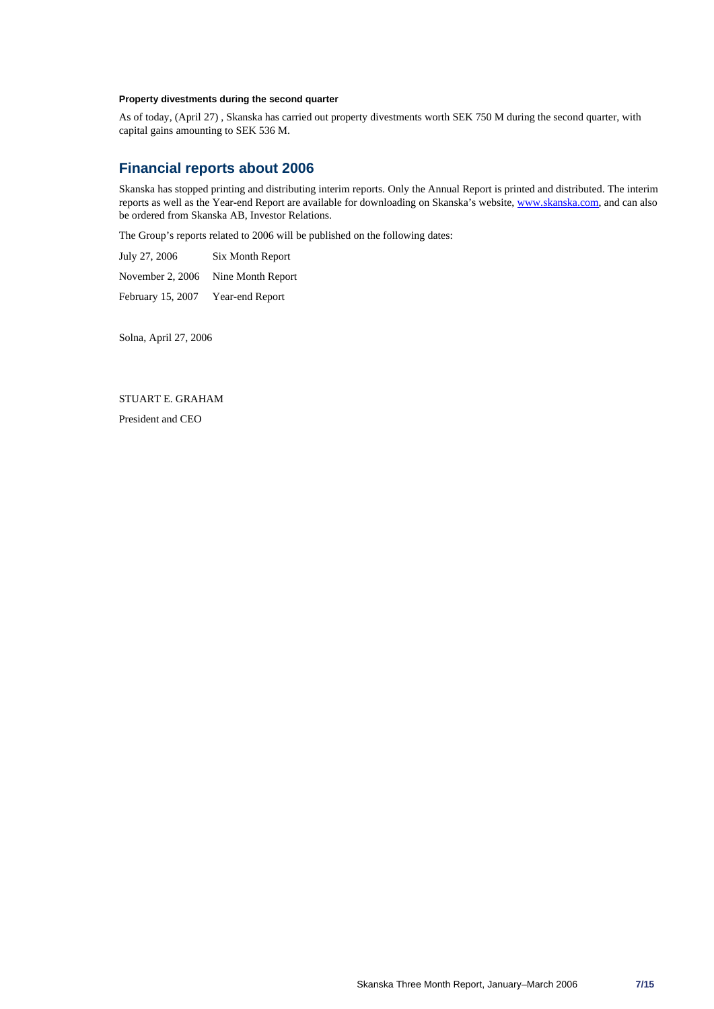### **Property divestments during the second quarter**

As of today, (April 27) , Skanska has carried out property divestments worth SEK 750 M during the second quarter, with capital gains amounting to SEK 536 M.

# **Financial reports about 2006**

Skanska has stopped printing and distributing interim reports. Only the Annual Report is printed and distributed. The interim reports as well as the Year-end Report are available for downloading on Skanska's website, www.skanska.com, and can also be ordered from Skanska AB, Investor Relations.

The Group's reports related to 2006 will be published on the following dates:

July 27, 2006 Six Month Report November 2, 2006 Nine Month Report February 15, 2007 Year-end Report

Solna, April 27, 2006

STUART E. GRAHAM President and CEO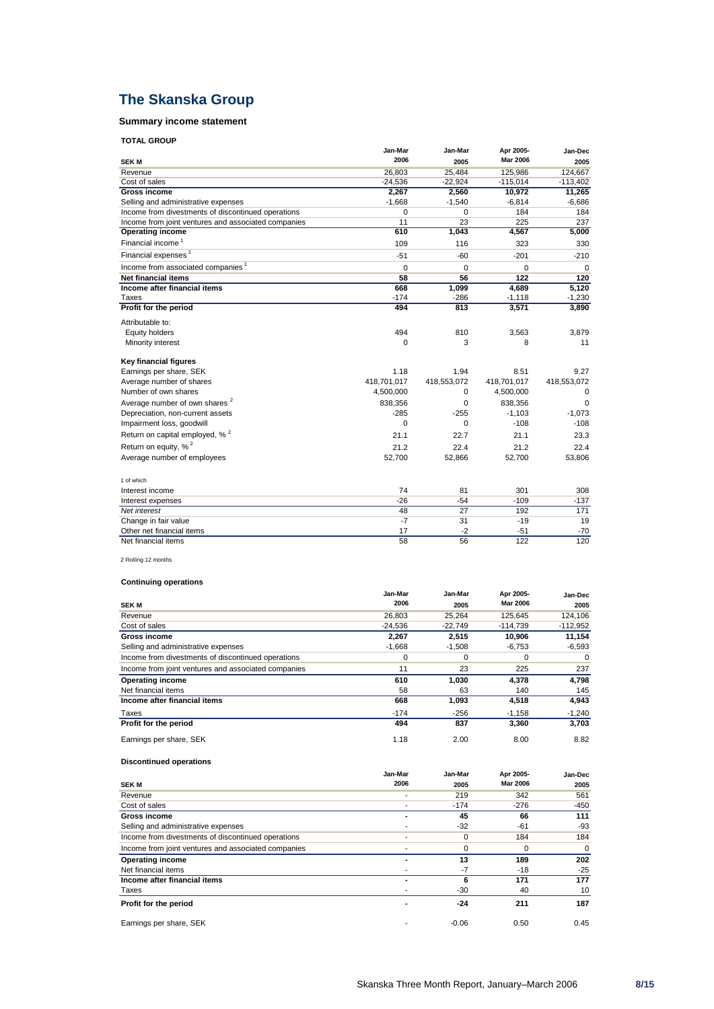# **The Skanska Group**

# **Summary income statement**

| <b>TOTAL GROUP</b> |  |
|--------------------|--|
|--------------------|--|

| <b>IUIAL GROUP</b>                                  |                 |             |                 |             |
|-----------------------------------------------------|-----------------|-------------|-----------------|-------------|
|                                                     | Jan-Mar         | Jan-Mar     | Apr 2005-       | Jan-Dec     |
| <b>SEKM</b>                                         | 2006            | 2005        | <b>Mar 2006</b> | 2005        |
| Revenue                                             | 26,803          | 25,484      | 125,986         | 124,667     |
| Cost of sales                                       | $-24,536$       | $-22,924$   | $-115,014$      | $-113,402$  |
| Gross income                                        | 2,267           | 2,560       | 10,972          | 11,265      |
| Selling and administrative expenses                 | $-1,668$        | $-1,540$    | $-6,814$        | $-6,686$    |
| Income from divestments of discontinued operations  | 0               | $\Omega$    | 184             | 184         |
| Income from joint ventures and associated companies | 11              | 23          | 225             | 237         |
| <b>Operating income</b>                             | 610             | 1,043       | 4,567           | 5,000       |
| Financial income <sup>1</sup>                       | 109             | 116         | 323             | 330         |
| Financial expenses <sup>1</sup>                     | $-51$           | $-60$       | $-201$          | $-210$      |
| Income from associated companies <sup>1</sup>       | 0               | $\Omega$    | $\Omega$        | $\Omega$    |
| <b>Net financial items</b>                          | 58              | 56          | 122             | 120         |
| Income after financial items                        | 668             | 1,099       | 4,689           | 5,120       |
| <b>Taxes</b>                                        | $-174$          | $-286$      | $-1,118$        | $-1,230$    |
| Profit for the period                               | 494             | 813         | 3,571           | 3,890       |
| Attributable to:                                    |                 |             |                 |             |
| Equity holders                                      | 494             | 810         | 3.563           | 3.879       |
| Minority interest                                   | 0               | 3           | 8               | 11          |
| <b>Key financial figures</b>                        |                 |             |                 |             |
| Earnings per share, SEK                             | 1.18            | 1.94        | 8.51            | 9.27        |
| Average number of shares                            | 418,701,017     | 418,553,072 | 418,701,017     | 418,553,072 |
| Number of own shares                                | 4,500,000       | 0           | 4,500,000       | $\Omega$    |
| Average number of own shares <sup>2</sup>           | 838,356         | $\Omega$    | 838,356         | $\Omega$    |
| Depreciation, non-current assets                    | $-285$          | $-255$      | $-1,103$        | $-1,073$    |
| Impairment loss, goodwill                           | 0               | $\Omega$    | $-108$          | $-108$      |
| Return on capital employed, % <sup>2</sup>          | 21.1            | 22.7        | 21.1            | 23.3        |
| Return on equity, % <sup>2</sup>                    | 21.2            | 22.4        | 21.2            | 22.4        |
| Average number of employees                         | 52,700          | 52,866      | 52,700          | 53,806      |
| 1 of which                                          |                 |             |                 |             |
| Interest income                                     | 74              | 81          | 301             | 308         |
| Interest expenses                                   | $-26$           | $-54$       | $-109$          | $-137$      |
| Net interest                                        | 48              | 27          | 192             | 171         |
| Change in fair value                                | $-7$            | 31          | $-19$           | 19          |
| Other net financial items                           | 17              | $-2$        | $-51$           | $-70$       |
| Net financial items                                 | $\overline{58}$ | 56          | 122             | 120         |

2 Rolling 12 months

### **Continuing operations**

|                                                     | Jan-Mar   | Jan-Mar   | Apr 2005-       | Jan-Dec    |
|-----------------------------------------------------|-----------|-----------|-----------------|------------|
| <b>SEK M</b>                                        | 2006      | 2005      | <b>Mar 2006</b> | 2005       |
| Revenue                                             | 26,803    | 25.264    | 125.645         | 124,106    |
| Cost of sales                                       | $-24.536$ | $-22.749$ | $-114.739$      | $-112,952$ |
| Gross income                                        | 2.267     | 2.515     | 10.906          | 11,154     |
| Selling and administrative expenses                 | $-1,668$  | $-1,508$  | $-6,753$        | $-6,593$   |
| Income from divestments of discontinued operations  | 0         | 0         | 0               | 0          |
| Income from joint ventures and associated companies | 11        | 23        | 225             | 237        |
| <b>Operating income</b>                             | 610       | 1.030     | 4.378           | 4.798      |
| Net financial items                                 | 58        | 63        | 140             | 145        |
| Income after financial items                        | 668       | 1,093     | 4,518           | 4,943      |
| Taxes                                               | $-174$    | $-256$    | $-1,158$        | $-1,240$   |
| Profit for the period                               | 494       | 837       | 3,360           | 3,703      |
| Earnings per share, SEK                             | 1.18      | 2.00      | 8.00            | 8.82       |

### **Discontinued operations**

|                                                     | Jan-Mar | Jan-Mar | Apr 2005-       | Jan-Dec |
|-----------------------------------------------------|---------|---------|-----------------|---------|
| <b>SEK M</b>                                        | 2006    | 2005    | <b>Mar 2006</b> | 2005    |
| Revenue                                             |         | 219     | 342             | 561     |
| Cost of sales                                       |         | $-174$  | $-276$          | $-450$  |
| <b>Gross income</b>                                 |         | 45      | 66              | 111     |
| Selling and administrative expenses                 |         | $-32$   | -61             | -93     |
| Income from divestments of discontinued operations  |         | 0       | 184             | 184     |
| Income from joint ventures and associated companies |         | 0       | 0               | 0       |
| <b>Operating income</b>                             |         | 13      | 189             | 202     |
| Net financial items                                 |         | $-7$    | $-18$           | $-25$   |
| Income after financial items                        | ۰       | 6       | 171             | 177     |
| Taxes                                               |         | $-30$   | 40              | 10      |
| Profit for the period                               |         | -24     | 211             | 187     |
| Earnings per share, SEK                             |         | $-0.06$ | 0.50            | 0.45    |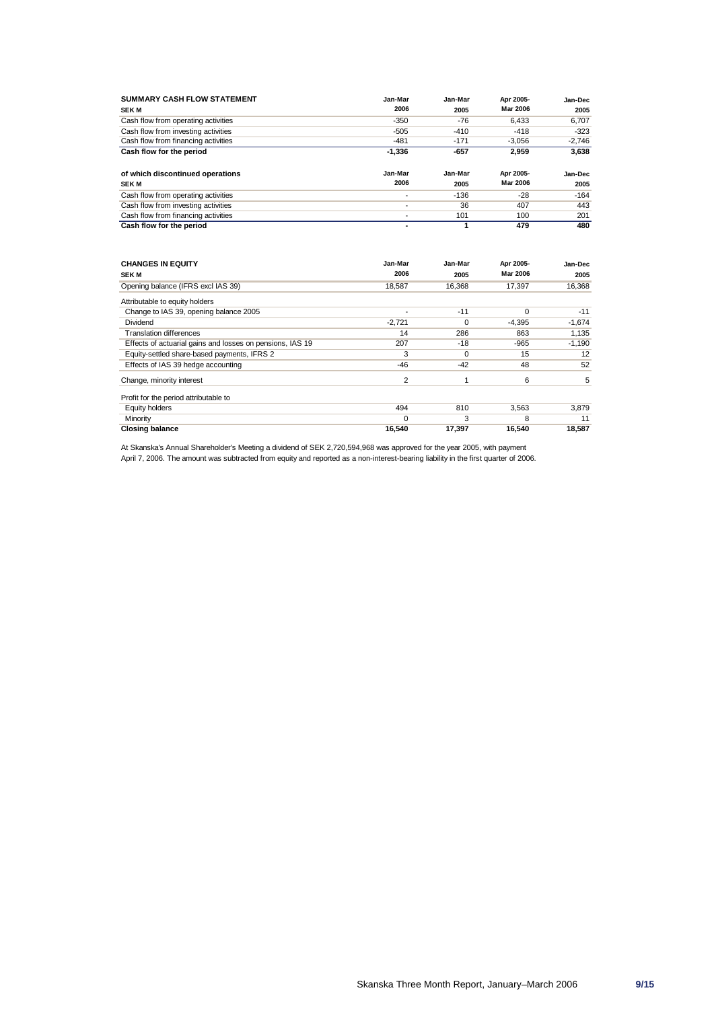| <b>SUMMARY CASH FLOW STATEMENT</b>  | Jan-Mar  | Jan-Mar | Apr 2005-       | Jan-Dec  |
|-------------------------------------|----------|---------|-----------------|----------|
| <b>SEK M</b>                        | 2006     | 2005    | Mar 2006        | 2005     |
| Cash flow from operating activities | $-350$   | $-76$   | 6.433           | 6,707    |
| Cash flow from investing activities | $-505$   | $-410$  | $-418$          | $-323$   |
| Cash flow from financing activities | $-481$   | $-171$  | $-3.056$        | $-2.746$ |
| Cash flow for the period            | $-1,336$ | $-657$  | 2,959           | 3,638    |
|                                     |          |         |                 |          |
| of which discontinued operations    | Jan-Mar  | Jan-Mar | Apr 2005-       | Jan-Dec  |
| <b>SEK M</b>                        | 2006     | 2005    | <b>Mar 2006</b> | 2005     |
| Cash flow from operating activities |          | $-136$  | $-28$           | $-164$   |
| Cash flow from investing activities | ۰        | 36      | 407             | 443      |
|                                     |          |         |                 |          |
| Cash flow from financing activities | ۰        | 101     | 100             | 201      |

| <b>CHANGES IN EQUITY</b>                                  | Jan-Mar<br>2006 | Jan-Mar  | Apr 2005-<br><b>Mar 2006</b> | Jan-Dec  |
|-----------------------------------------------------------|-----------------|----------|------------------------------|----------|
| <b>SEK M</b>                                              |                 | 2005     |                              | 2005     |
| Opening balance (IFRS excl IAS 39)                        | 18.587          | 16.368   | 17,397                       | 16,368   |
| Attributable to equity holders                            |                 |          |                              |          |
| Change to IAS 39, opening balance 2005                    |                 | $-11$    | $\Omega$                     | $-11$    |
| Dividend                                                  | $-2.721$        | $\Omega$ | $-4.395$                     | $-1,674$ |
| <b>Translation differences</b>                            | 14              | 286      | 863                          | 1,135    |
| Effects of actuarial gains and losses on pensions, IAS 19 | 207             | $-18$    | $-965$                       | $-1,190$ |
| Equity-settled share-based payments, IFRS 2               | 3               | $\Omega$ | 15                           | 12       |
| Effects of IAS 39 hedge accounting                        | -46             | $-42$    | 48                           | 52       |
| Change, minority interest                                 | $\overline{2}$  |          | 6                            | 5        |
| Profit for the period attributable to                     |                 |          |                              |          |
| Equity holders                                            | 494             | 810      | 3,563                        | 3,879    |
| Minority                                                  | $\Omega$        | 3        | 8                            | 11       |
| <b>Closing balance</b>                                    | 16,540          | 17,397   | 16,540                       | 18,587   |

At Skanska's Annual Shareholder's Meeting a dividend of SEK 2,720,594,968 was approved for the year 2005, with payment April 7, 2006. The amount was subtracted from equity and reported as a non-interest-bearing liability in the first quarter of 2006.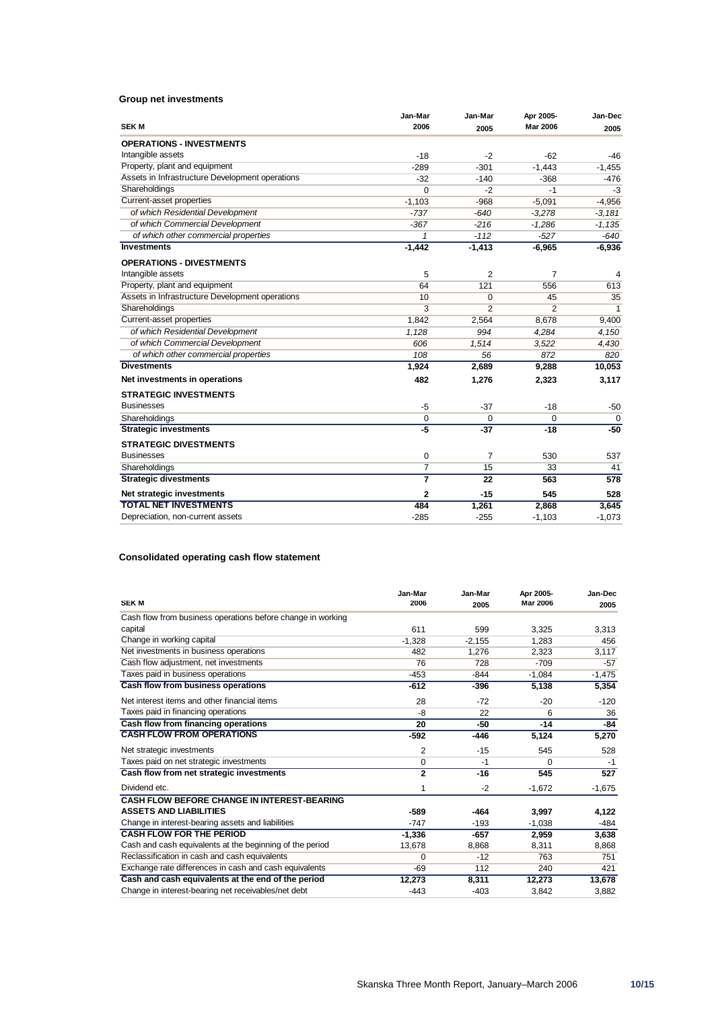### **Group net investments**

|                                                 | Jan-Mar        | Jan-Mar        | Apr 2005-       | Jan-Dec     |
|-------------------------------------------------|----------------|----------------|-----------------|-------------|
| <b>SEK M</b>                                    | 2006           | 2005           | <b>Mar 2006</b> | 2005        |
| <b>OPERATIONS - INVESTMENTS</b>                 |                |                |                 |             |
| Intangible assets                               | $-18$          | $-2$           | $-62$           | -46         |
| Property, plant and equipment                   | $-289$         | $-301$         | $-1,443$        | $-1,455$    |
| Assets in Infrastructure Development operations | $-32$          | $-140$         | $-368$          | $-476$      |
| Shareholdings                                   | $\Omega$       | $-2$           | -1              | $-3$        |
| Current-asset properties                        | $-1.103$       | $-968$         | $-5,091$        | $-4,956$    |
| of which Residential Development                | $-737$         | $-640$         | $-3,278$        | $-3.181$    |
| of which Commercial Development                 | $-367$         | $-216$         | $-1.286$        | $-1.135$    |
| of which other commercial properties            | $\mathbf{1}$   | $-112$         | $-527$          | $-640$      |
| <b>Investments</b>                              | $-1,442$       | $-1,413$       | $-6,965$        | $-6,936$    |
| <b>OPERATIONS - DIVESTMENTS</b>                 |                |                |                 |             |
| Intangible assets                               | 5              | $\overline{2}$ | $\overline{7}$  | 4           |
| Property, plant and equipment                   | 64             | 121            | 556             | 613         |
| Assets in Infrastructure Development operations | 10             | 0              | 45              | 35          |
| Shareholdings                                   | 3              | $\overline{2}$ | $\overline{2}$  | 1           |
| Current-asset properties                        | 1,842          | 2,564          | 8,678           | 9,400       |
| of which Residential Development                | 1,128          | 994            | 4,284           | 4,150       |
| of which Commercial Development                 | 606            | 1.514          | 3,522           | 4,430       |
| of which other commercial properties            | 108            | 56             | 872             | 820         |
| <b>Divestments</b>                              | 1,924          | 2,689          | 9,288           | 10,053      |
| Net investments in operations                   | 482            | 1,276          | 2,323           | 3,117       |
| <b>STRATEGIC INVESTMENTS</b>                    |                |                |                 |             |
| <b>Businesses</b>                               | $-5$           | $-37$          | $-18$           | $-50$       |
| Shareholdings                                   | 0              | 0              | 0               | $\mathbf 0$ |
| <b>Strategic investments</b>                    | $-5$           | $-37$          | $-18$           | $-50$       |
| <b>STRATEGIC DIVESTMENTS</b>                    |                |                |                 |             |
| <b>Businesses</b>                               | $\mathbf 0$    | $\overline{7}$ | 530             | 537         |
| Shareholdings                                   | $\overline{7}$ | 15             | 33              | 41          |
| <b>Strategic divestments</b>                    | $\overline{7}$ | 22             | 563             | 578         |
| Net strategic investments                       | $\overline{2}$ | $-15$          | 545             | 528         |
| <b>TOTAL NET INVESTMENTS</b>                    | 484            | 1,261          | 2,868           | 3,645       |
| Depreciation, non-current assets                | $-285$         | $-255$         | $-1.103$        | $-1,073$    |

### **Consolidated operating cash flow statement**

| <b>SEKM</b>                                                 | Jan-Mar<br>2006 | Jan-Mar<br>2005 | Apr 2005-<br><b>Mar 2006</b> | Jan-Dec<br>2005 |
|-------------------------------------------------------------|-----------------|-----------------|------------------------------|-----------------|
| Cash flow from business operations before change in working |                 |                 |                              |                 |
| capital                                                     | 611             | 599             | 3,325                        | 3,313           |
| Change in working capital                                   | $-1,328$        | $-2,155$        | 1,283                        | 456             |
| Net investments in business operations                      | 482             | 1.276           | 2,323                        | 3,117           |
| Cash flow adjustment, net investments                       | 76              | 728             | $-709$                       | $-57$           |
| Taxes paid in business operations                           | $-453$          | $-844$          | $-1,084$                     | $-1,475$        |
| Cash flow from business operations                          | $-612$          | $-396$          | 5,138                        | 5,354           |
| Net interest items and other financial items                | 28              | $-72$           | $-20$                        | $-120$          |
| Taxes paid in financing operations                          | -8              | 22              | 6                            | 36              |
| Cash flow from financing operations                         | 20              | -50             | $-14$                        | $-84$           |
| <b>CASH FLOW FROM OPERATIONS</b>                            | $-592$          | $-446$          | 5,124                        | 5,270           |
| Net strategic investments                                   | $\overline{2}$  | $-15$           | 545                          | 528             |
| Taxes paid on net strategic investments                     | 0               | $-1$            | $\Omega$                     | $-1$            |
| Cash flow from net strategic investments                    | $\overline{2}$  | $-16$           | 545                          | 527             |
| Dividend etc.                                               | 1               | $-2$            | $-1,672$                     | $-1,675$        |
| <b>CASH FLOW BEFORE CHANGE IN INTEREST-BEARING</b>          |                 |                 |                              |                 |
| <b>ASSETS AND LIABILITIES</b>                               | $-589$          | $-464$          | 3,997                        | 4,122           |
| Change in interest-bearing assets and liabilities           | $-747$          | $-193$          | $-1,038$                     | -484            |
| <b>CASH FLOW FOR THE PERIOD</b>                             | $-1,336$        | $-657$          | 2,959                        | 3,638           |
| Cash and cash equivalents at the beginning of the period    | 13.678          | 8.868           | 8,311                        | 8,868           |
| Reclassification in cash and cash equivalents               | 0               | $-12$           | 763                          | 751             |
| Exchange rate differences in cash and cash equivalents      | -69             | 112             | 240                          | 421             |
| Cash and cash equivalents at the end of the period          | 12,273          | 8,311           | 12,273                       | 13,678          |
| Change in interest-bearing net receivables/net debt         | $-443$          | $-403$          | 3.842                        | 3.882           |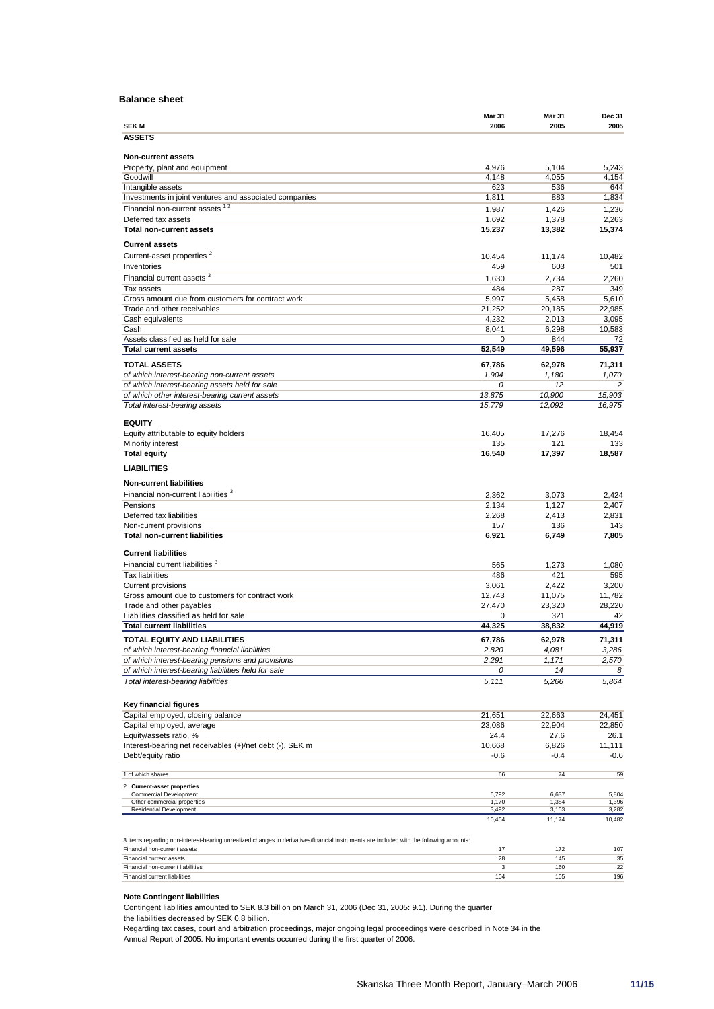### **Balance sheet**

|                                                                                                                                         | <b>Mar 31</b> | <b>Mar 31</b> | <b>Dec 31</b>  |
|-----------------------------------------------------------------------------------------------------------------------------------------|---------------|---------------|----------------|
| <b>SEKM</b>                                                                                                                             | 2006          | 2005          | 2005           |
| <b>ASSETS</b>                                                                                                                           |               |               |                |
| <b>Non-current assets</b>                                                                                                               |               |               |                |
| Property, plant and equipment                                                                                                           | 4,976         | 5,104         | 5,243          |
| Goodwill                                                                                                                                | 4,148         | 4,055         | 4,154          |
| Intangible assets                                                                                                                       | 623           | 536           | 644            |
| Investments in joint ventures and associated companies                                                                                  | 1,811         | 883           | 1,834          |
| Financial non-current assets <sup>13</sup>                                                                                              | 1,987         | 1,426         | 1,236          |
| Deferred tax assets                                                                                                                     | 1,692         | 1,378         | 2,263          |
| <b>Total non-current assets</b>                                                                                                         | 15,237        | 13,382        | 15,374         |
| <b>Current assets</b>                                                                                                                   |               |               |                |
| Current-asset properties <sup>2</sup>                                                                                                   | 10,454        | 11,174        | 10,482         |
| Inventories                                                                                                                             | 459           | 603           | 501            |
| Financial current assets <sup>3</sup>                                                                                                   | 1,630         | 2,734         | 2,260          |
| Tax assets                                                                                                                              | 484           | 287           | 349            |
| Gross amount due from customers for contract work                                                                                       | 5,997         | 5,458         | 5,610          |
| Trade and other receivables                                                                                                             | 21,252        | 20,185        | 22,985         |
| Cash equivalents                                                                                                                        | 4,232         | 2,013         | 3,095          |
| Cash                                                                                                                                    | 8,041         | 6,298         | 10,583         |
| Assets classified as held for sale                                                                                                      | 0             | 844           | 72             |
| <b>Total current assets</b>                                                                                                             | 52.549        | 49,596        | 55,937         |
| <b>TOTAL ASSETS</b>                                                                                                                     | 67,786        | 62,978        | 71,311         |
| of which interest-bearing non-current assets                                                                                            | 1,904         | 1,180         | 1,070          |
| of which interest-bearing assets held for sale                                                                                          | 0             | 12            | $\overline{c}$ |
| of which other interest-bearing current assets                                                                                          | 13,875        | 10,900        | 15,903         |
| Total interest-bearing assets                                                                                                           | 15,779        | 12,092        | 16,975         |
|                                                                                                                                         |               |               |                |
| <b>EQUITY</b>                                                                                                                           |               |               |                |
| Equity attributable to equity holders                                                                                                   | 16,405<br>135 | 17,276<br>121 | 18,454<br>133  |
| Minority interest<br><b>Total equity</b>                                                                                                | 16,540        | 17,397        | 18,587         |
|                                                                                                                                         |               |               |                |
| <b>LIABILITIES</b>                                                                                                                      |               |               |                |
| <b>Non-current liabilities</b>                                                                                                          |               |               |                |
| Financial non-current liabilities <sup>3</sup>                                                                                          | 2,362         | 3,073         | 2,424          |
| Pensions                                                                                                                                | 2,134         | 1,127         | 2,407          |
| Deferred tax liabilities                                                                                                                | 2,268         | 2,413         | 2,831          |
| Non-current provisions                                                                                                                  | 157           | 136           | 143            |
| <b>Total non-current liabilities</b>                                                                                                    | 6,921         | 6,749         | 7,805          |
|                                                                                                                                         |               |               |                |
| <b>Current liabilities</b>                                                                                                              |               |               |                |
| Financial current liabilities <sup>3</sup>                                                                                              | 565           | 1,273         | 1,080          |
| <b>Tax liabilities</b>                                                                                                                  | 486           | 421           | 595            |
| <b>Current provisions</b>                                                                                                               | 3,061         | 2,422         | 3,200          |
| Gross amount due to customers for contract work                                                                                         | 12,743        | 11,075        | 11,782         |
| Trade and other payables<br>Liabilities classified as held for sale                                                                     | 27,470<br>0   | 23,320<br>321 | 28,220<br>42   |
| <b>Total current liabilities</b>                                                                                                        | 44,325        | 38,832        | 44,919         |
|                                                                                                                                         |               |               |                |
| TOTAL EQUITY AND LIABILITIES                                                                                                            | 67,786        | 62,978        | 71,311         |
| of which interest-bearing financial liabilities                                                                                         | 2,820         | 4,081         | 3,286          |
| of which interest-bearing pensions and provisions<br>of which interest-bearing liabilities held for sale                                | 2,291<br>0    | 1,171<br>14   | 2,570          |
|                                                                                                                                         |               |               | 8              |
| Total interest-bearing liabilities                                                                                                      | 5,111         | 5,266         | 5,864          |
|                                                                                                                                         |               |               |                |
| Key financial figures                                                                                                                   |               |               |                |
| Capital employed, closing balance                                                                                                       | 21,651        | 22,663        | 24,451         |
| Capital employed, average                                                                                                               | 23,086        | 22,904        | 22,850         |
| Equity/assets ratio, %                                                                                                                  | 24.4          | 27.6          | 26.1           |
| Interest-bearing net receivables (+)/net debt (-), SEK m                                                                                | 10,668        | 6,826         | 11,111         |
| Debt/equity ratio                                                                                                                       | $-0.6$        | $-0.4$        | $-0.6$         |
| 1 of which shares                                                                                                                       | 66            | 74            | 59             |
| 2 Current-asset properties                                                                                                              |               |               |                |
| <b>Commercial Development</b>                                                                                                           | 5,792         | 6,637         | 5,804          |
| Other commercial properties                                                                                                             | 1,170         | 1,384         | 1,396          |
| Residential Development                                                                                                                 | 3,492         | 3,153         | 3,282          |
|                                                                                                                                         | 10,454        | 11,174        | 10,482         |
| 3 Items regarding non-interest-bearing unrealized changes in derivatives/financial instruments are included with the following amounts: |               |               |                |
| Financial non-current assets                                                                                                            | 17            | 172           | 107            |
| Financial current assets                                                                                                                | 28            | 145           | 35             |

### **Note Contingent liabilities**

Contingent liabilities amounted to SEK 8.3 billion on March 31, 2006 (Dec 31, 2005: 9.1). During the quarter

the liabilities decreased by SEK 0.8 billion.

Regarding tax cases, court and arbitration proceedings, major ongoing legal proceedings were described in Note 34 in the Annual Report of 2005. No important events occurred during the first quarter of 2006.

Financial non-current liabilities 3 160 22<br>Financial current liabilities 3 196 22 22 23 160 22 23 24 24 25 26 27 27 28 29 29 2020 2021 203 204 204 205 20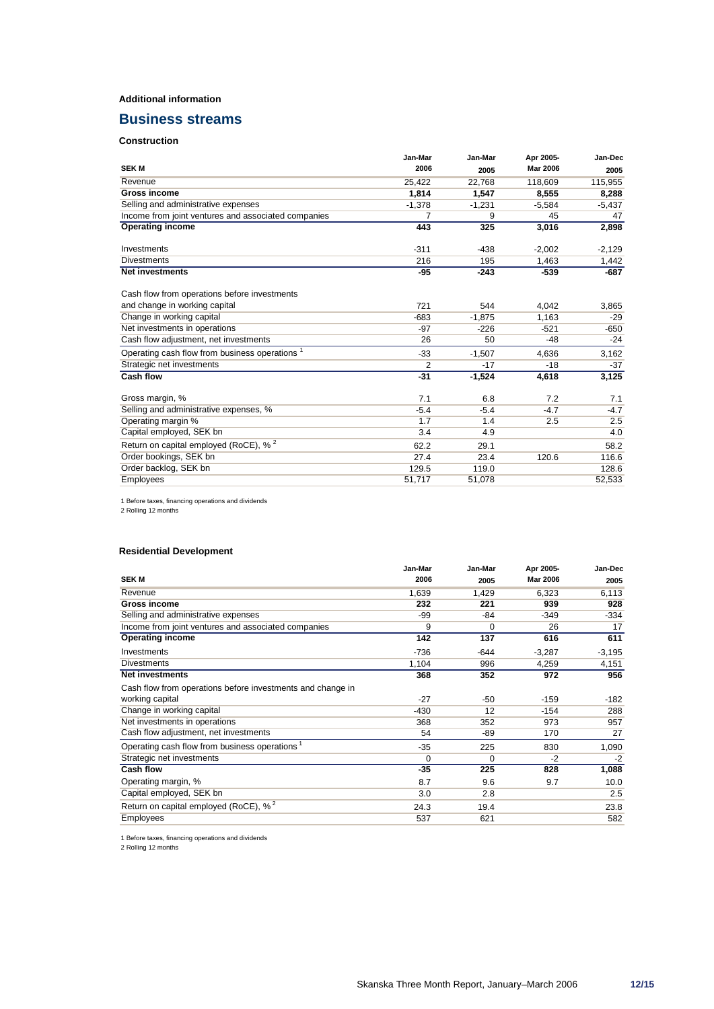### **Additional information**

## **Business streams**

# **Construction**

|                                                           | Jan-Mar        | Jan-Mar  | Apr 2005-       | Jan-Dec  |
|-----------------------------------------------------------|----------------|----------|-----------------|----------|
| <b>SEKM</b>                                               | 2006           | 2005     | <b>Mar 2006</b> | 2005     |
| Revenue                                                   | 25,422         | 22,768   | 118,609         | 115,955  |
| <b>Gross income</b>                                       | 1.814          | 1.547    | 8,555           | 8,288    |
| Selling and administrative expenses                       | $-1,378$       | $-1,231$ | $-5,584$        | $-5,437$ |
| Income from joint ventures and associated companies       | 7              | 9        | 45              | 47       |
| <b>Operating income</b>                                   | 443            | 325      | 3,016           | 2,898    |
| Investments                                               | $-311$         | $-438$   | $-2.002$        | -2,129   |
| <b>Divestments</b>                                        | 216            | 195      | 1,463           | 1,442    |
| <b>Net investments</b>                                    | -95            | $-243$   | $-539$          | -687     |
| Cash flow from operations before investments              |                |          |                 |          |
| and change in working capital                             | 721            | 544      | 4.042           | 3,865    |
| Change in working capital                                 | $-683$         | $-1.875$ | 1,163           | $-29$    |
| Net investments in operations                             | $-97$          | $-226$   | $-521$          | -650     |
| Cash flow adjustment, net investments                     | 26             | 50       | -48             | -24      |
| Operating cash flow from business operations <sup>1</sup> | $-33$          | $-1.507$ | 4.636           | 3.162    |
| Strategic net investments                                 | $\overline{2}$ | $-17$    | $-18$           | $-37$    |
| <b>Cash flow</b>                                          | $-31$          | $-1,524$ | 4,618           | 3,125    |
| Gross margin, %                                           | 7.1            | 6.8      | 7.2             | 7.1      |
| Selling and administrative expenses, %                    | $-5.4$         | $-5.4$   | $-4.7$          | $-4.7$   |
| Operating margin %                                        | 1.7            | 1.4      | 2.5             | 2.5      |
| Capital employed, SEK bn                                  | 3.4            | 4.9      |                 | 4.0      |
| Return on capital employed (RoCE), % <sup>2</sup>         | 62.2           | 29.1     |                 | 58.2     |
| Order bookings, SEK bn                                    | 27.4           | 23.4     | 120.6           | 116.6    |
| Order backlog, SEK bn                                     | 129.5          | 119.0    |                 | 128.6    |
| Employees                                                 | 51,717         | 51,078   |                 | 52,533   |

1 Before taxes, financing operations and dividends

2 Rolling 12 months

### **Residential Development**

|                                                            | Jan-Mar  | Jan-Mar | Apr 2005-       | Jan-Dec  |
|------------------------------------------------------------|----------|---------|-----------------|----------|
| <b>SEKM</b>                                                | 2006     | 2005    | <b>Mar 2006</b> | 2005     |
| Revenue                                                    | 1,639    | 1,429   | 6,323           | 6,113    |
| <b>Gross income</b>                                        | 232      | 221     | 939             | 928      |
| Selling and administrative expenses                        | -99      | $-84$   | $-349$          | $-334$   |
| Income from joint ventures and associated companies        | 9        | 0       | 26              | 17       |
| <b>Operating income</b>                                    | 142      | 137     | 616             | 611      |
| Investments                                                | $-736$   | $-644$  | $-3,287$        | $-3,195$ |
| <b>Divestments</b>                                         | 1,104    | 996     | 4,259           | 4,151    |
| <b>Net investments</b>                                     | 368      | 352     | 972             | 956      |
| Cash flow from operations before investments and change in |          |         |                 |          |
| working capital                                            | $-27$    | $-50$   | $-159$          | $-182$   |
| Change in working capital                                  | -430     | 12      | $-154$          | 288      |
| Net investments in operations                              | 368      | 352     | 973             | 957      |
| Cash flow adjustment, net investments                      | 54       | -89     | 170             | 27       |
| Operating cash flow from business operations <sup>1</sup>  | $-35$    | 225     | 830             | 1,090    |
| Strategic net investments                                  | $\Omega$ | 0       | $-2$            | $-2$     |
| <b>Cash flow</b>                                           | $-35$    | 225     | 828             | 1,088    |
| Operating margin, %                                        | 8.7      | 9.6     | 9.7             | 10.0     |
| Capital employed, SEK bn                                   | 3.0      | 2.8     |                 | 2.5      |
| Return on capital employed (RoCE), % <sup>2</sup>          | 24.3     | 19.4    |                 | 23.8     |
| <b>Employees</b>                                           | 537      | 621     |                 | 582      |

1 Before taxes, financing operations and dividends

2 Rolling 12 months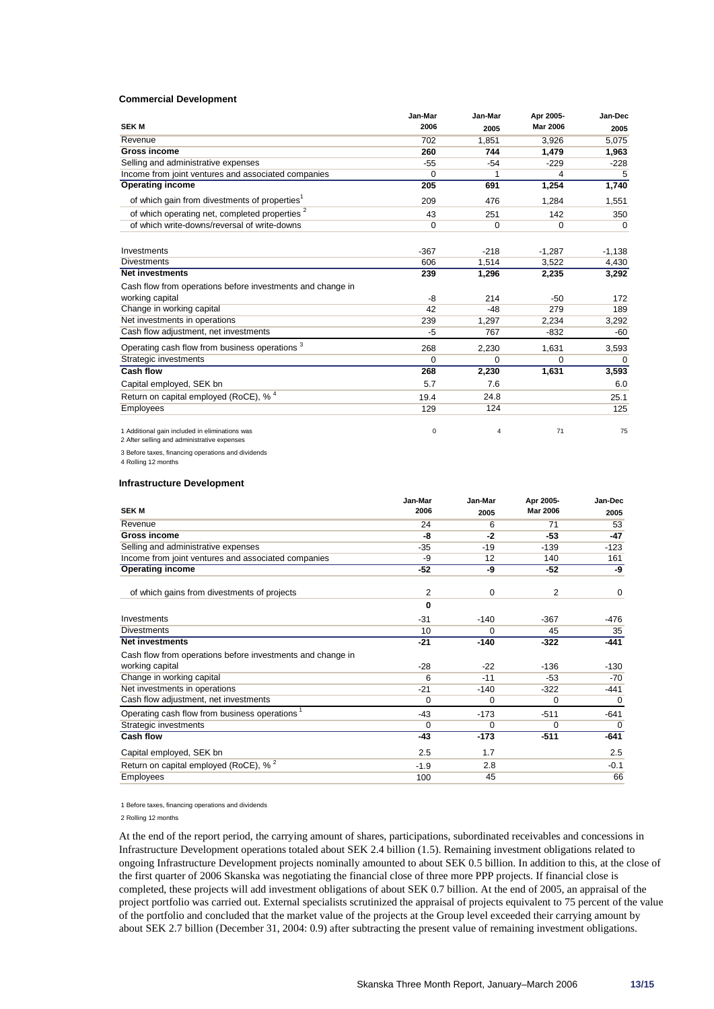#### **Commercial Development**

|                                                            | Jan-Mar | Jan-Mar     | Apr 2005-       | Jan-Dec     |
|------------------------------------------------------------|---------|-------------|-----------------|-------------|
| <b>SEKM</b>                                                | 2006    | 2005        | <b>Mar 2006</b> | 2005        |
| Revenue                                                    | 702     | 1,851       | 3,926           | 5,075       |
| <b>Gross income</b>                                        | 260     | 744         | 1,479           | 1,963       |
| Selling and administrative expenses                        | $-55$   | $-54$       | $-229$          | $-228$      |
| Income from joint ventures and associated companies        | 0       | 1           | 4               | 5           |
| <b>Operating income</b>                                    | 205     | 691         | 1,254           | 1,740       |
| of which gain from divestments of properties <sup>1</sup>  | 209     | 476         | 1,284           | 1,551       |
| of which operating net, completed properties <sup>2</sup>  | 43      | 251         | 142             | 350         |
| of which write-downs/reversal of write-downs               | 0       | $\mathbf 0$ | $\Omega$        | $\mathbf 0$ |
| Investments                                                | $-367$  | $-218$      | $-1,287$        | $-1,138$    |
| <b>Divestments</b>                                         | 606     | 1.514       | 3,522           | 4,430       |
| <b>Net investments</b>                                     | 239     | 1,296       | 2,235           | 3,292       |
| Cash flow from operations before investments and change in |         |             |                 |             |
| working capital                                            | -8      | 214         | $-50$           | 172         |
| Change in working capital                                  | 42      | $-48$       | 279             | 189         |
| Net investments in operations                              | 239     | 1,297       | 2,234           | 3,292       |
| Cash flow adjustment, net investments                      | -5      | 767         | $-832$          | -60         |
| Operating cash flow from business operations <sup>3</sup>  | 268     | 2,230       | 1,631           | 3,593       |
| Strategic investments                                      | 0       | $\Omega$    | $\Omega$        | $\mathbf 0$ |
| <b>Cash flow</b>                                           | 268     | 2,230       | 1,631           | 3,593       |
| Capital employed, SEK bn                                   | 5.7     | 7.6         |                 | 6.0         |
| Return on capital employed (RoCE), % <sup>4</sup>          | 19.4    | 24.8        |                 | 25.1        |
| <b>Employees</b>                                           | 129     | 124         |                 | 125         |
| 1 Additional gain included in eliminations was             | 0       | 4           | 71              | 75          |

2 After selling and administrative expenses

3 Before taxes, financing operations and dividends

4 Rolling 12 months

#### **Infrastructure Development**

|                                                            | Jan-Mar  | Jan-Mar  | Apr 2005-       | Jan-Dec     |
|------------------------------------------------------------|----------|----------|-----------------|-------------|
| <b>SEK M</b>                                               | 2006     | 2005     | <b>Mar 2006</b> | 2005        |
| Revenue                                                    | 24       | 6        | 71              | 53          |
| <b>Gross income</b>                                        | -8       | -2       | -53             | -47         |
| Selling and administrative expenses                        | $-35$    | $-19$    | $-139$          | $-123$      |
| Income from joint ventures and associated companies        | -9       | 12       | 140             | 161         |
| <b>Operating income</b>                                    | $-52$    | -9       | -52             | -9          |
| of which gains from divestments of projects                | 2        | 0        | 2               | 0           |
|                                                            | 0        |          |                 |             |
| Investments                                                | $-31$    | $-140$   | $-367$          | $-476$      |
| <b>Divestments</b>                                         | 10       | $\Omega$ | 45              | 35          |
| <b>Net investments</b>                                     | $-21$    | $-140$   | $-322$          | $-441$      |
| Cash flow from operations before investments and change in |          |          |                 |             |
| working capital                                            | $-28$    | $-22$    | $-136$          | $-130$      |
| Change in working capital                                  | 6        | $-11$    | $-53$           | $-70$       |
| Net investments in operations                              | $-21$    | $-140$   | $-322$          | $-441$      |
| Cash flow adjustment, net investments                      | $\Omega$ | $\Omega$ | $\Omega$        | $\mathbf 0$ |
| Operating cash flow from business operations <sup>1</sup>  | $-43$    | $-173$   | $-511$          | $-641$      |
| Strategic investments                                      | $\Omega$ | 0        | 0               | 0           |
| <b>Cash flow</b>                                           | $-43$    | $-173$   | $-511$          | -641        |
| Capital employed, SEK bn                                   | 2.5      | 1.7      |                 | 2.5         |
| Return on capital employed (RoCE), % <sup>2</sup>          | $-1.9$   | 2.8      |                 | $-0.1$      |
| <b>Employees</b>                                           | 100      | 45       |                 | 66          |

1 Before taxes, financing operations and dividends

2 Rolling 12 months

At the end of the report period, the carrying amount of shares, participations, subordinated receivables and concessions in Infrastructure Development operations totaled about SEK 2.4 billion (1.5). Remaining investment obligations related to ongoing Infrastructure Development projects nominally amounted to about SEK 0.5 billion. In addition to this, at the close of the first quarter of 2006 Skanska was negotiating the financial close of three more PPP projects. If financial close is completed, these projects will add investment obligations of about SEK 0.7 billion. At the end of 2005, an appraisal of the project portfolio was carried out. External specialists scrutinized the appraisal of projects equivalent to 75 percent of the value of the portfolio and concluded that the market value of the projects at the Group level exceeded their carrying amount by about SEK 2.7 billion (December 31, 2004: 0.9) after subtracting the present value of remaining investment obligations.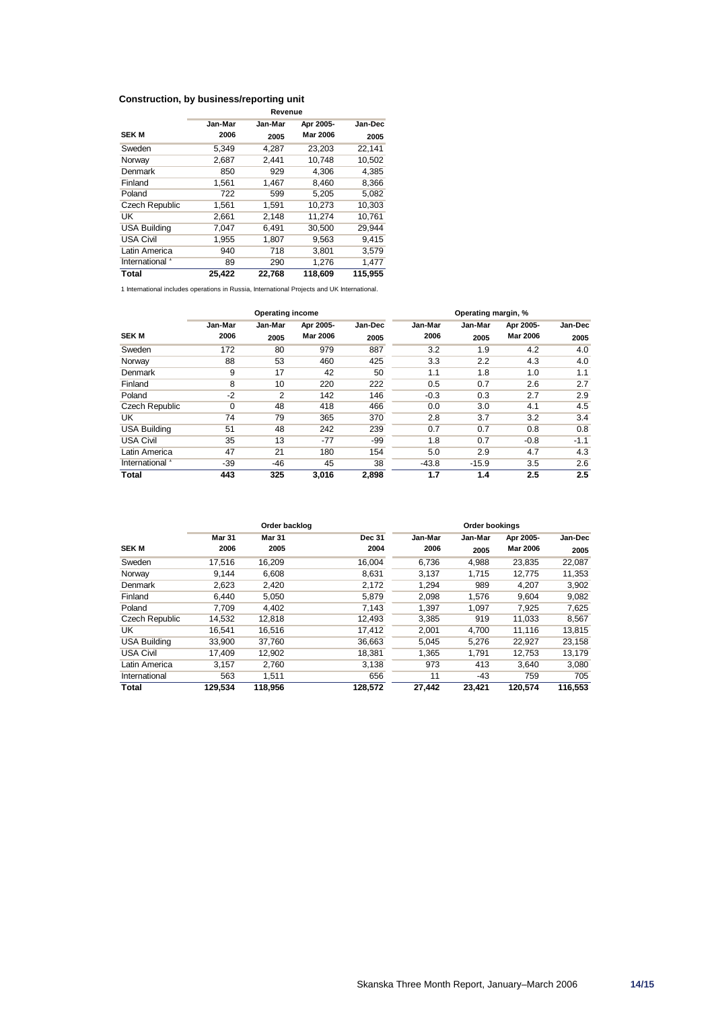#### **Construction, by business/reporting unit Revenue**

|                       | Revenue |         |           |         |  |  |
|-----------------------|---------|---------|-----------|---------|--|--|
|                       | Jan-Mar | Jan-Mar | Apr 2005- | Jan-Dec |  |  |
| <b>SEK M</b>          | 2006    | 2005    | Mar 2006  | 2005    |  |  |
| Sweden                | 5,349   | 4.287   | 23,203    | 22,141  |  |  |
| Norway                | 2,687   | 2,441   | 10.748    | 10.502  |  |  |
| Denmark               | 850     | 929     | 4,306     | 4,385   |  |  |
| Finland               | 1,561   | 1,467   | 8,460     | 8,366   |  |  |
| Poland                | 722     | 599     | 5.205     | 5,082   |  |  |
| <b>Czech Republic</b> | 1,561   | 1,591   | 10.273    | 10,303  |  |  |
| UK                    | 2,661   | 2,148   | 11,274    | 10,761  |  |  |
| <b>USA Building</b>   | 7,047   | 6,491   | 30,500    | 29,944  |  |  |
| <b>USA Civil</b>      | 1,955   | 1,807   | 9,563     | 9,415   |  |  |
| Latin America         | 940     | 718     | 3,801     | 3,579   |  |  |
| International         | 89      | 290     | 1,276     | 1,477   |  |  |
| Total                 | 25,422  | 22,768  | 118,609   | 115,955 |  |  |

1 International includes operations in Russia, International Projects and UK International.

| Operating income    |                 |                 | Operating margin, %          |                 |                 |                 |                              |                 |
|---------------------|-----------------|-----------------|------------------------------|-----------------|-----------------|-----------------|------------------------------|-----------------|
| <b>SEK M</b>        | Jan-Mar<br>2006 | Jan-Mar<br>2005 | Apr 2005-<br><b>Mar 2006</b> | Jan-Dec<br>2005 | Jan-Mar<br>2006 | Jan-Mar<br>2005 | Apr 2005-<br><b>Mar 2006</b> | Jan-Dec<br>2005 |
| Sweden              | 172             | 80              | 979                          | 887             | 3.2             | 1.9             | 4.2                          | 4.0             |
| Norway              | 88              | 53              | 460                          | 425             | 3.3             | 2.2             | 4.3                          | 4.0             |
| Denmark             | 9               | 17              | 42                           | 50              | 1.1             | 1.8             | 1.0                          | 1.1             |
| Finland             | 8               | 10              | 220                          | 222             | 0.5             | 0.7             | 2.6                          | 2.7             |
| Poland              | $-2$            | 2               | 142                          | 146             | $-0.3$          | 0.3             | 2.7                          | 2.9             |
| Czech Republic      | $\Omega$        | 48              | 418                          | 466             | 0.0             | 3.0             | 4.1                          | 4.5             |
| UK                  | 74              | 79              | 365                          | 370             | 2.8             | 3.7             | 3.2                          | 3.4             |
| <b>USA Building</b> | 51              | 48              | 242                          | 239             | 0.7             | 0.7             | 0.8                          | 0.8             |
| <b>USA Civil</b>    | 35              | 13              | $-77$                        | -99             | 1.8             | 0.7             | $-0.8$                       | $-1.1$          |
| Latin America       | 47              | 21              | 180                          | 154             | 5.0             | 2.9             | 4.7                          | 4.3             |
| International       | $-39$           | -46             | 45                           | 38              | $-43.8$         | $-15.9$         | 3.5                          | 2.6             |
| Total               | 443             | 325             | 3,016                        | 2,898           | 1.7             | 1.4             | 2.5                          | 2.5             |

|                     |               | Order backlog |               |         | Order bookings |                 |         |
|---------------------|---------------|---------------|---------------|---------|----------------|-----------------|---------|
|                     | <b>Mar 31</b> | <b>Mar 31</b> | <b>Dec 31</b> | Jan-Mar | Jan-Mar        | Apr 2005-       | Jan-Dec |
| <b>SEK M</b>        | 2006          | 2005          | 2004          | 2006    | 2005           | <b>Mar 2006</b> | 2005    |
| Sweden              | 17.516        | 16.209        | 16.004        | 6,736   | 4,988          | 23,835          | 22,087  |
| Norway              | 9.144         | 6,608         | 8,631         | 3,137   | 1,715          | 12,775          | 11,353  |
| Denmark             | 2,623         | 2,420         | 2,172         | 1.294   | 989            | 4.207           | 3,902   |
| Finland             | 6,440         | 5,050         | 5,879         | 2,098   | 1,576          | 9,604           | 9,082   |
| Poland              | 7,709         | 4,402         | 7,143         | 1,397   | 1,097          | 7,925           | 7,625   |
| Czech Republic      | 14,532        | 12.818        | 12.493        | 3,385   | 919            | 11,033          | 8,567   |
| UK                  | 16,541        | 16,516        | 17,412        | 2,001   | 4,700          | 11,116          | 13,815  |
| <b>USA Building</b> | 33,900        | 37,760        | 36,663        | 5,045   | 5,276          | 22,927          | 23,158  |
| <b>USA Civil</b>    | 17.409        | 12,902        | 18,381        | 1.365   | 1,791          | 12,753          | 13,179  |
| Latin America       | 3.157         | 2,760         | 3,138         | 973     | 413            | 3,640           | 3,080   |
| International       | 563           | 1,511         | 656           | 11      | -43            | 759             | 705     |
| Total               | 129.534       | 118.956       | 128.572       | 27,442  | 23.421         | 120.574         | 116.553 |